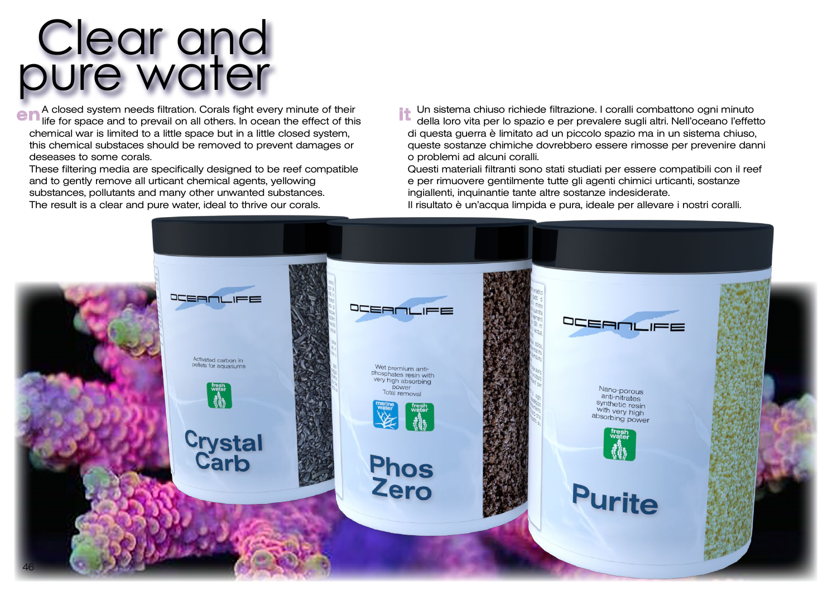## Clear and pure water

A closed system needs filtration. Corals fight every minute of their **e n** A closed system needs filtration. Corals fight every minute of their **there is a continuum of the end** of this  $\bullet$ chemical war is limited to a little space but in a little closed system, this chemical substaces should be removed to prevent damages or deseases to some corals.

These filtering media are specifically designed to be reef compatible and to gently remove all urticant chemical agents, yellowing substances, pollutants and many other unwanted substances. The result is a clear and pure water, ideal to thrive our corals.

Un sistema chiuso richiede filtrazione. I coralli combattono ogni minuto della loro vita per lo spazio e per prevalere sugli altri. Nell'oceano l'effetto di questa guerra è limitato ad un piccolo spazio ma in un sistema chiuso, queste sostanze chimiche dovrebbero essere rimosse per prevenire danni o problemi ad alcuni coralli.

Questi materiali filtranti sono stati studiati per essere compatibili con il reef e per rimuovere gentilmente tutte gli agenti chimici urticanti, sostanze ingiallenti, inquinantie tante altre sostanze indesiderate.

Il risultato è un'acqua limpida e pura, ideale per allevare i nostri coralli.